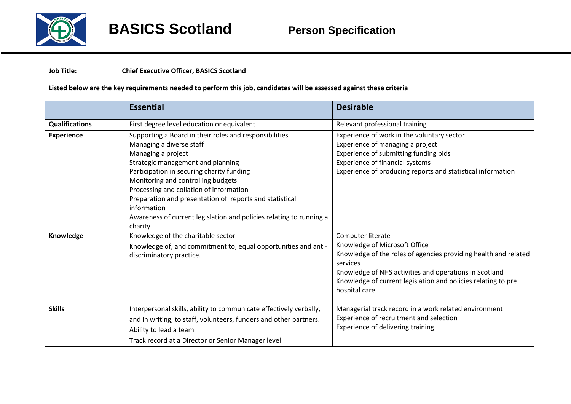

## **Job Title: Chief Executive Officer, BASICS Scotland**

## **Listed below are the key requirements needed to perform this job, candidates will be assessed against these criteria**

|                       | <b>Essential</b>                                                                                                                                                                                                                                                                                                                                                                                                             | <b>Desirable</b>                                                                                                                                                                                                                                                              |
|-----------------------|------------------------------------------------------------------------------------------------------------------------------------------------------------------------------------------------------------------------------------------------------------------------------------------------------------------------------------------------------------------------------------------------------------------------------|-------------------------------------------------------------------------------------------------------------------------------------------------------------------------------------------------------------------------------------------------------------------------------|
| <b>Qualifications</b> | First degree level education or equivalent                                                                                                                                                                                                                                                                                                                                                                                   | Relevant professional training                                                                                                                                                                                                                                                |
| <b>Experience</b>     | Supporting a Board in their roles and responsibilities<br>Managing a diverse staff<br>Managing a project<br>Strategic management and planning<br>Participation in securing charity funding<br>Monitoring and controlling budgets<br>Processing and collation of information<br>Preparation and presentation of reports and statistical<br>information<br>Awareness of current legislation and policies relating to running a | Experience of work in the voluntary sector<br>Experience of managing a project<br>Experience of submitting funding bids<br><b>Experience of financial systems</b><br>Experience of producing reports and statistical information                                              |
| Knowledge             | charity<br>Knowledge of the charitable sector<br>Knowledge of, and commitment to, equal opportunities and anti-<br>discriminatory practice.                                                                                                                                                                                                                                                                                  | Computer literate<br>Knowledge of Microsoft Office<br>Knowledge of the roles of agencies providing health and related<br>services<br>Knowledge of NHS activities and operations in Scotland<br>Knowledge of current legislation and policies relating to pre<br>hospital care |
| <b>Skills</b>         | Interpersonal skills, ability to communicate effectively verbally,<br>and in writing, to staff, volunteers, funders and other partners.<br>Ability to lead a team<br>Track record at a Director or Senior Manager level                                                                                                                                                                                                      | Managerial track record in a work related environment<br>Experience of recruitment and selection<br>Experience of delivering training                                                                                                                                         |